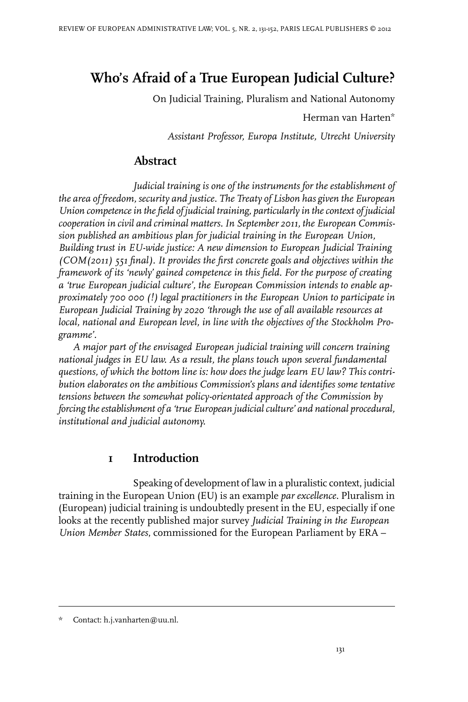# **Who's Afraid of a True European Judicial Culture?**

On Judicial Training, Pluralism and National Autonomy

Herman van Harten\*

*Assistant Professor, Europa Institute, Utrecht University*

## **Abstract**

*Judicial training is one of the instruments for the establishment of the area of freedom, security and justice. The Treaty of Lisbon has given the European Union competencein the field of judicial training, particularly in thecontext of judicial cooperation in civil and criminal matters. In September 2011, the European Commission published an ambitious plan for judicial training in the European Union, Building trust in EU-wide justice: A new dimension to European Judicial Training (COM(2011) 551 final). It provides the first concrete goals and objectives within the framework of its 'newly' gained competence in this field. For the purpose of creating a 'true European judicial culture', the European Commission intends to enable approximately 700 000 (!) legal practitioners in the European Union to participate in European Judicial Training by 2020 'through the use of all available resources at local, national and European level, in line with the objectives of the Stockholm Programme'.*

*A major part of the envisaged European judicial training will concern training national judges in EU law. As a result, the plans touch upon several fundamental questions, of which the bottom line is: how does the judge learn EU law? This contribution elaborates on the ambitious Commission's plans and identifies some tentative tensions between the somewhat policy-orientated approach of the Commission by forcing theestablishment of a 'true European judicialculture' and national procedural, institutional and judicial autonomy.*

### **1 Introduction**

Speaking of development of law in a pluralistic context, judicial training in the European Union (EU) is an example *par excellence*. Pluralism in (European) judicial training is undoubtedly present in the EU, especially if one looks at the recently published major survey *Judicial Training in the European Union Member States*, commissioned for the European Parliament by ERA –

Contact: h.j.vanharten@uu.nl.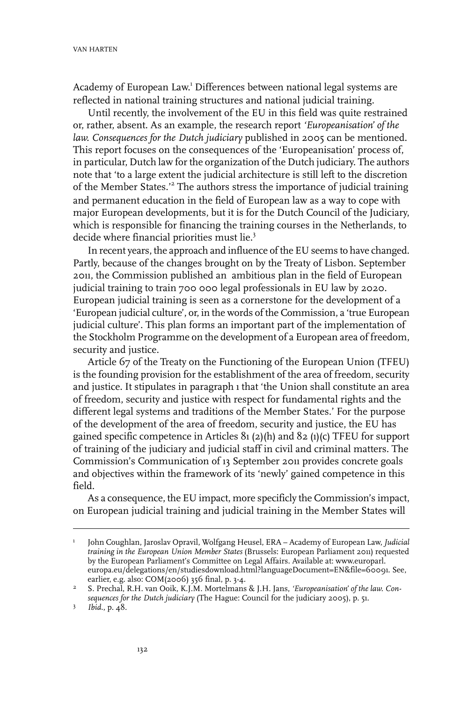Academy of European Law. <sup>1</sup> Differences between national legal systems are reflected in national training structures and national judicial training.

Until recently, the involvement of the EU in this field was quite restrained or, rather, absent. As an example, the research report *'Europeanisation' of the law. Consequences for the Dutch judiciary* published in 2005 can be mentioned. This report focuses on the consequences of the 'Europeanisation' process of, in particular, Dutch law for the organization of the Dutch judiciary. The authors note that 'to a large extent the judicial architecture is still left to the discretion of the Member States.'<sup>2</sup> The authors stress the importance of judicial training and permanent education in the field of European law as a way to cope with major European developments, but it is for the Dutch Council of the Judiciary, which is responsible for financing the training courses in the Netherlands, to decide where financial priorities must lie.<sup>3</sup>

In recent years, the approach and influence of the EU seems to have changed. Partly, because of the changes brought on by the Treaty of Lisbon. September 2011, the Commission published an ambitious plan in the field of European judicial training to train 700 000 legal professionals in EU law by 2020. European judicial training is seen as a cornerstone for the development of a 'European judicial culture', or, in the words of the Commission, a 'true European judicial culture'. This plan forms an important part of the implementation of the Stockholm Programme on the development of a European area of freedom, security and justice.

Article 67 of the Treaty on the Functioning of the European Union (TFEU) is the founding provision for the establishment of the area of freedom, security and justice. It stipulates in paragraph 1 that 'the Union shall constitute an area of freedom, security and justice with respect for fundamental rights and the different legal systems and traditions of the Member States.' For the purpose of the development of the area of freedom, security and justice, the EU has gained specific competence in Articles 81 (2)(h) and 82 (1)(c) TFEU for support of training of the judiciary and judicial staff in civil and criminal matters. The Commission's Communication of 13 September 2011 provides concrete goals and objectives within the framework of its 'newly' gained competence in this field.

As a consequence, the EU impact, more specificly the Commission's impact, on European judicial training and judicial training in the Member States will

John Coughlan, Jaroslav Opravil, Wolfgang Heusel, ERA – Academy of European Law, *Judicial training in the European Union Member States* (Brussels: European Parliament 2011) requested 1 by the European Parliament's Committee on Legal Affairs. Available at: www.europarl. europa.eu/delegations/en/studiesdownload.html?languageDocument=EN&file=60091. See, earlier, e.g. also: COM(2006) 356 final, p. 3-4.

S. Prechal, R.H. van Ooik, K.J.M. Mortelmans & J.H. Jans, *'Europeanisation' of the law. Consequences for the Dutch judiciary* (The Hague: Council for the judiciary 2005), p. 51. 2

<sup>3</sup> *Ibid.*, p. 48.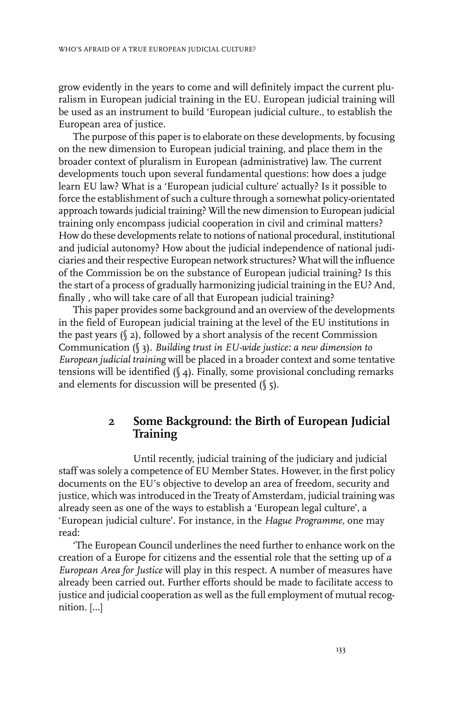grow evidently in the years to come and will definitely impact the current pluralism in European judicial training in the EU. European judicial training will be used as an instrument to build 'European judicial culture., to establish the European area of justice.

The purpose of this paper is to elaborate on these developments, by focusing on the new dimension to European judicial training, and place them in the broader context of pluralism in European (administrative) law. The current developments touch upon several fundamental questions: how does a judge learn EU law? What is a 'European judicial culture' actually? Is it possible to force the establishment of such a culture through a somewhat policy-orientated approach towards judicial training? Will the new dimension to European judicial training only encompass judicial cooperation in civil and criminal matters? How do these developments relate to notions of national procedural, institutional and judicial autonomy? How about the judicial independence of national judiciaries and their respective European network structures? What will the influence of the Commission be on the substance of European judicial training? Is this the start of a process of gradually harmonizing judicial training in the EU? And, finally , who will take care of all that European judicial training?

This paper provides some background and an overview of the developments in the field of European judicial training at the level of the EU institutions in the past years  $(\S 2)$ , followed by a short analysis of the recent Commission Communication (§ 3). *Building trust in EU-wide justice: a new dimension to European judicial training* will be placed in a broader context and some tentative tensions will be identified (§ 4). Finally, some provisional concluding remarks and elements for discussion will be presented  $(\sqrt{\ }5)$ .

### **2 Some Background: the Birth of European Judicial Training**

Until recently, judicial training of the judiciary and judicial staff was solely a competence of EU Member States. However, in the first policy documents on the EU's objective to develop an area of freedom, security and justice, which was introduced in the Treaty of Amsterdam, judicial training was already seen as one of the ways to establish a 'European legal culture', a 'European judicial culture'. For instance, in the *Hague Programme,* one may read:

'The European Council underlines the need further to enhance work on the creation of a Europe for citizens and the essential role that the setting up of *a European Area for Justice* will play in this respect. A number of measures have already been carried out. Further efforts should be made to facilitate access to justice and judicial cooperation as well as the full employment of mutual recognition. […]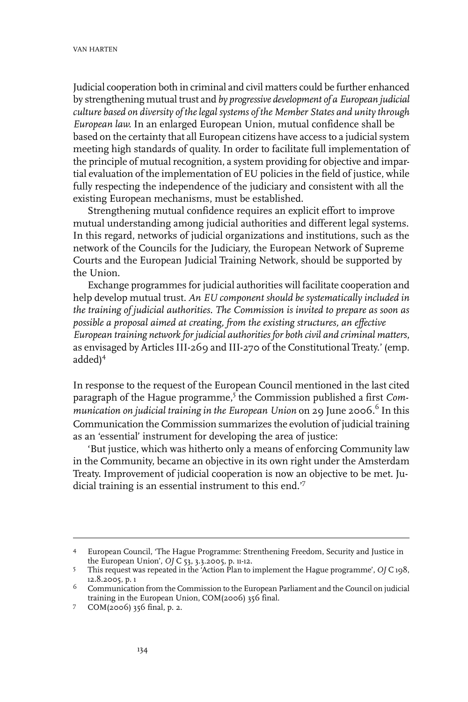Judicial cooperation both in criminal and civil matters could be further enhanced by strengthening mutual trust and *by progressive development of a European judicial culture based on diversity of the legal systems of the Member States and unity through European law.* In an enlarged European Union, mutual confidence shall be based on the certainty that all European citizens have access to a judicial system meeting high standards of quality. In order to facilitate full implementation of the principle of mutual recognition, a system providing for objective and impartial evaluation of the implementation of EU policies in the field of justice, while fully respecting the independence of the judiciary and consistent with all the existing European mechanisms, must be established.

Strengthening mutual confidence requires an explicit effort to improve mutual understanding among judicial authorities and different legal systems. In this regard, networks of judicial organizations and institutions, such as the network of the Councils for the Judiciary, the European Network of Supreme Courts and the European Judicial Training Network, should be supported by the Union.

Exchange programmes for judicial authorities will facilitate cooperation and help develop mutual trust. *An EU component should be systematically included in the training of judicial authorities. The Commission is invited to prepare as soon as possible a proposal aimed at creating, from the existing structures, an effective European training network for judicial authorities for both civil and criminal matters*, as envisaged by Articles III-269 and III-270 of the Constitutional Treaty.' (emp. added)<sup>4</sup>

In response to the request of the European Council mentioned in the last cited paragraph of the Hague programme,<sup>5</sup> the Commission published a first *Communication on judicial training in the European Union* on 29 June 2006.<sup>6</sup> In this Communication the Commission summarizes the evolution of judicial training as an 'essential' instrument for developing the area of justice:

'But justice, which was hitherto only a means of enforcing Community law in the Community, became an objective in its own right under the Amsterdam Treaty. Improvement of judicial cooperation is now an objective to be met. Judicial training is an essential instrument to this end.<sup>'7</sup>

European Council, 'The Hague Programme: Strenthening Freedom, Security and Justice in 4 the European Union', *OJ* C 53, 3.3.2005, p. 11-12.

This request was repeated in the 'Action Plan to implement the Hague programme', *OJ* C 198, 12.8.2005, p. 1 5

 $6$  Communication from the Commission to the European Parliament and the Council on judicial training in the European Union, COM(2006) 356 final.

<sup>7</sup> COM(2006) 356 final, p. 2.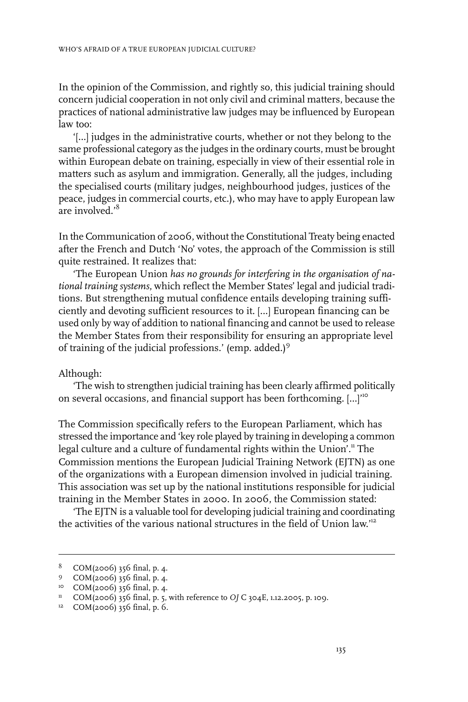In the opinion of the Commission, and rightly so, this judicial training should concern judicial cooperation in not only civil and criminal matters, because the practices of national administrative law judges may be influenced by European law too:

'[…] judges in the administrative courts, whether or not they belong to the same professional category as the judges in the ordinary courts, must be brought within European debate on training, especially in view of their essential role in matters such as asylum and immigration. Generally, all the judges, including the specialised courts (military judges, neighbourhood judges, justices of the peace, judges in commercial courts, etc.), who may have to apply European law are involved.<sup>8</sup>

In the Communication of 2006, without the Constitutional Treaty being enacted after the French and Dutch 'No' votes, the approach of the Commission is still quite restrained. It realizes that:

'The European Union *has no grounds for interfering in the organisation of national training systems*, which reflect the Member States' legal and judicial traditions. But strengthening mutual confidence entails developing training sufficiently and devoting sufficient resources to it. […] European financing can be used only by way of addition to national financing and cannot be used to release the Member States from their responsibility for ensuring an appropriate level of training of the judicial professions.' (emp. added.)<sup>9</sup>

#### Although:

'The wish to strengthen judicial training has been clearly affirmed politically on several occasions, and financial support has been forthcoming. […]'<sup>10</sup>

The Commission specifically refers to the European Parliament, which has stressed the importance and 'key role played by training in developing a common legal culture and a culture of fundamental rights within the Union'.<sup>11</sup> The Commission mentions the European Judicial Training Network (EJTN) as one of the organizations with a European dimension involved in judicial training. This association was set up by the national institutions responsible for judicial training in the Member States in 2000. In 2006, the Commission stated:

'The EJTN is a valuable tool for developing judicial training and coordinating the activities of the various national structures in the field of Union law.'<sup>12</sup>

 $8$  COM(2006) 356 final, p. 4.

<sup>9</sup>  $COM(2006)$  356 final, p. 4.

<sup>&</sup>lt;sup>10</sup> COM(2006) 356 final, p. 4.

<sup>&</sup>lt;sup>11</sup> COM(2006) 356 final, p. 5, with reference to *OJ* C 304E, 1.12.2005, p. 109.

 $12$  COM(2006) 356 final, p. 6.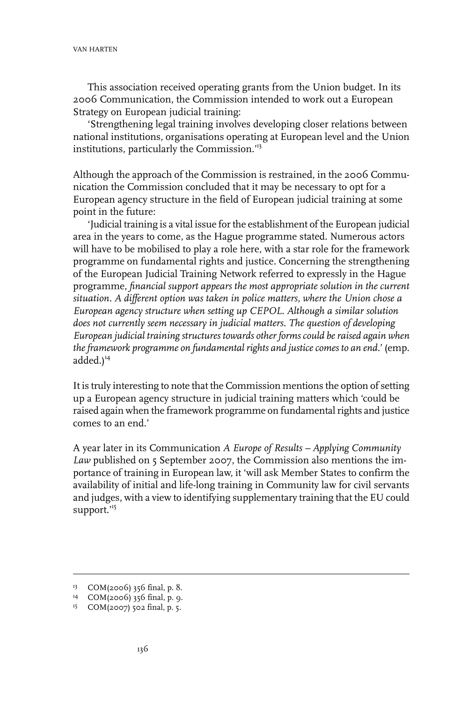This association received operating grants from the Union budget. In its 2006 Communication, the Commission intended to work out a European Strategy on European judicial training:

'Strengthening legal training involves developing closer relations between national institutions, organisations operating at European level and the Union institutions, particularly the Commission.'<sup>13</sup>

Although the approach of the Commission is restrained, in the 2006 Communication the Commission concluded that it may be necessary to opt for a European agency structure in the field of European judicial training at some point in the future:

'Judicial training is a vital issue forthe establishment of the European judicial area in the years to come, as the Hague programme stated. Numerous actors will have to be mobilised to play a role here, with a star role for the framework programme on fundamental rights and justice. Concerning the strengthening of the European Judicial Training Network referred to expressly in the Hague programme, *financial support appears the most appropriate solution in the current situation. A different option was taken in police matters, where the Union chose a European agency structure when setting up CEPOL. Although a similar solution does not currently seem necessary in judicial matters. The question of developing European judicial training structures towards other forms could be raised again when theframework programme on fundamental rights and justicecomes to an end.*' (emp.  $added.)<sup>14</sup>$ 

It is truly interesting to note that the Commission mentions the option of setting up a European agency structure in judicial training matters which 'could be raised again when the framework programme on fundamental rights and justice comes to an end.'

A year later in its Communication *A Europe of Results – Applying Community* Law published on 5 September 2007, the Commission also mentions the importance of training in European law, it 'will ask Member States to confirm the availability of initial and life-long training in Community law for civil servants and judges, with a view to identifying supplementary training that the EU could support."<sup>15</sup>

<sup>&</sup>lt;sup>13</sup> COM(2006) 356 final, p. 8.

COM(2006) 356 final, p. 9. <sup>14</sup>

<sup>&</sup>lt;sup>15</sup> COM(2007) 502 final, p. 5.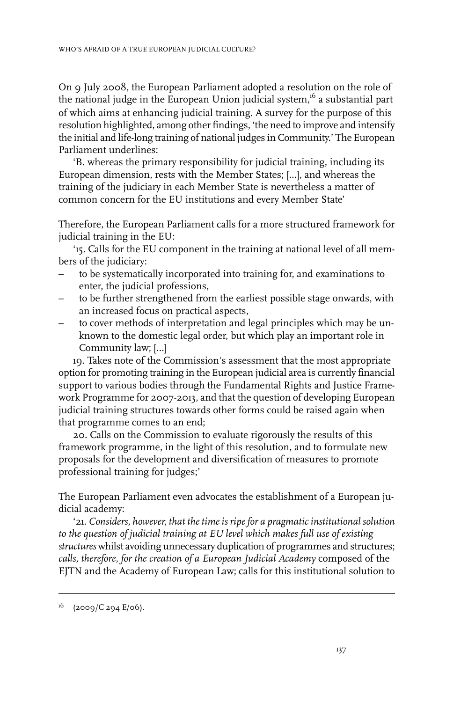On 9 July 2008, the European Parliament adopted a resolution on the role of the national judge in the European Union judicial system,<sup>16</sup> a substantial part of which aims at enhancing judicial training. A survey for the purpose of this resolution highlighted, among other findings, 'the need to improve and intensify the initial and life-long training of national judges in Community.' The European Parliament underlines:

'B. whereas the primary responsibility for judicial training, including its European dimension, rests with the Member States; […], and whereas the training of the judiciary in each Member State is nevertheless a matter of common concern for the EU institutions and every Member State'

Therefore, the European Parliament calls for a more structured framework for judicial training in the EU:

'15. Calls for the EU component in the training at national level of all members of the judiciary:

- to be systematically incorporated into training for, and examinations to enter, the judicial professions,
- to be further strengthened from the earliest possible stage onwards, with an increased focus on practical aspects,
- to cover methods of interpretation and legal principles which may be unknown to the domestic legal order, but which play an important role in Community law; […]

19. Takes note of the Commission's assessment that the most appropriate option for promoting training in the European judicial area is currently financial support to various bodies through the Fundamental Rights and Justice Framework Programme for 2007-2013, and that the question of developing European judicial training structures towards other forms could be raised again when that programme comes to an end;

20. Calls on the Commission to evaluate rigorously the results of this framework programme, in the light of this resolution, and to formulate new proposals for the development and diversification of measures to promote professional training for judges;'

The European Parliament even advocates the establishment of a European judicial academy:

'21. *Considers, however, that the time is ripe for a pragmatic institutional solution to the question of judicial training at EU level which makes full use of existing structures* whilst avoiding unnecessary duplication of programmes and structures; *calls, therefore, for the creation of a European Judicial Academy* composed of the EJTN and the Academy of European Law; calls for this institutional solution to

 $^{16}$  (2009/C 294 E/06).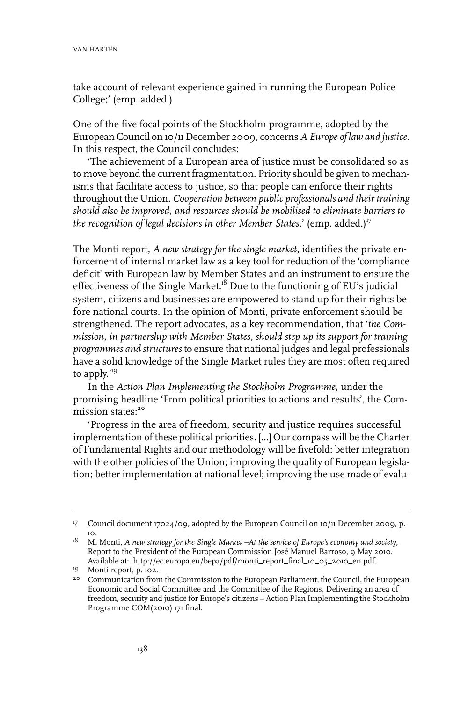take account of relevant experience gained in running the European Police College;' (emp. added.)

One of the five focal points of the Stockholm programme, adopted by the European Council on 10/11 December 2009, concerns *A Europe of law and justice*. In this respect, the Council concludes:

'The achievement of a European area of justice must be consolidated so as to move beyond the current fragmentation. Priority should be given to mechanisms that facilitate access to justice, so that people can enforce their rights throughout the Union. *Cooperation between public professionals and their training should also be improved, and resources should be mobilised to eliminate barriers to the recognition of legal decisions in other Member States.'* (emp. added.)<sup>17</sup>

The Monti report, *A new strategy for the single market*, identifies the private enforcement of internal market law as a key tool for reduction of the 'compliance deficit' with European law by Member States and an instrument to ensure the effectiveness of the Single Market.<sup>18</sup> Due to the functioning of EU's judicial system, citizens and businesses are empowered to stand up for their rights before national courts. In the opinion of Monti, private enforcement should be strengthened. The report advocates, as a key recommendation, that '*the Commission, in partnership with Member States, should step up its support for training programmes and structures* to ensure that national judges and legal professionals have a solid knowledge of the Single Market rules they are most often required to apply."<sup>9</sup>

In the *Action Plan Implementing the Stockholm Programme*, under the promising headline 'From political priorities to actions and results', the Commission states:<sup>20</sup>

'Progress in the area of freedom, security and justice requires successful implementation of these political priorities. […] Our compass will be the Charter of Fundamental Rights and our methodology will be fivefold: better integration with the other policies of the Union; improving the quality of European legislation; better implementation at national level; improving the use made of evalu-

<sup>&</sup>lt;sup>17</sup> Council document 17024/09, adopted by the European Council on 10/11 December 2009, p. 10.

M. Monti, *A new strategy for the Single Market –At the service of Europe's economy and society*, 18 Report to the President of the European Commission José Manuel Barroso, 9 May 2010. Available at: http://ec.europa.eu/bepa/pdf/monti\_report\_final\_10\_05\_2010\_en.pdf.

<sup>&</sup>lt;sup>19</sup> Monti report, p. 102.

<sup>&</sup>lt;sup>20</sup> Communication from the Commission to the European Parliament, the Council, the European Economic and Social Committee and the Committee of the Regions, Delivering an area of freedom, security and justice for Europe's citizens – Action Plan Implementing the Stockholm Programme COM(2010) 171 final.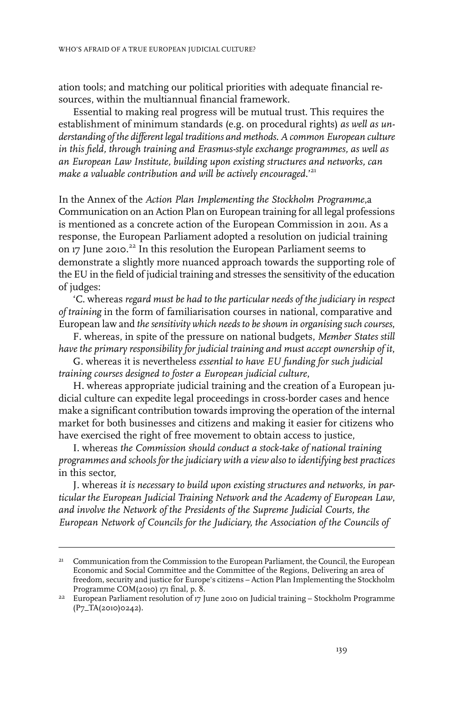ation tools; and matching our political priorities with adequate financial resources, within the multiannual financial framework.

Essential to making real progress will be mutual trust. This requires the establishment of minimum standards (e.g. on procedural rights) *as well as understanding of the different legal traditions and methods. A common European culture in this field, through training and Erasmus-style exchange programmes, as well as an European Law Institute, building upon existing structures and networks, can make a valuable contribution and will be actively encouraged.*' 21

In the Annex of the *Action Plan Implementing the Stockholm Programme*,a Communication on an Action Plan on European training for all legal professions is mentioned as a concrete action of the European Commission in 2011. As a response, the European Parliament adopted a resolution on judicial training on 17 June 2010.<sup>22</sup> In this resolution the European Parliament seems to demonstrate a slightly more nuanced approach towards the supporting role of the EU in the field of judicial training and stresses the sensitivity of the education of judges:

'C. whereas *regard must be had to the particular needs of the judiciary in respect of training* in the form of familiarisation courses in national, comparative and European law and *the sensitivity which needs to be shown in organising such courses*,

F. whereas, in spite of the pressure on national budgets, *Member States still have the primary responsibility for judicial training and must accept ownership of it*,

G. whereas it is nevertheless *essential to have EU funding for such judicial training courses designed to foster a European judicial culture*,

H. whereas appropriate judicial training and the creation of a European judicial culture can expedite legal proceedings in cross-border cases and hence make a significant contribution towards improving the operation of the internal market for both businesses and citizens and making it easier for citizens who have exercised the right of free movement to obtain access to justice,

I. whereas *the Commission should conduct a stock-take of national training programmes and schools for the judiciary with a view also to identifying best practices* in this sector,

J. whereas *it is necessary to build upon existing structures and networks, in particular the European Judicial Training Network and the Academy of European Law*, *and involve the Network of the Presidents of the Supreme Judicial Courts, the European Network of Councils for the Judiciary, the Association of the Councils of*

Communication from the Commission to the European Parliament, the Council, the European Economic and Social Committee and the Committee of the Regions, Delivering an area of 21 freedom, security and justice for Europe's citizens – Action Plan Implementing the Stockholm Programme COM(2010) 171 final, p. 8.

<sup>&</sup>lt;sup>22</sup> European Parliament resolution of 17 June 2010 on Judicial training - Stockholm Programme (P7\_TA(2010)0242).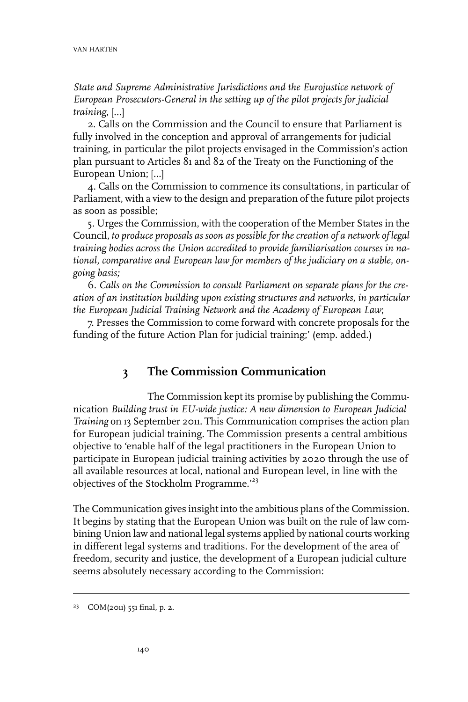*State and Supreme Administrative Jurisdictions and the Eurojustice network of European Prosecutors-General in the setting up of the pilot projects for judicial training*, […]

2. Calls on the Commission and the Council to ensure that Parliament is fully involved in the conception and approval of arrangements for judicial training, in particular the pilot projects envisaged in the Commission's action plan pursuant to Articles 81 and 82 of the Treaty on the Functioning of the European Union; […]

4. Calls on the Commission to commence its consultations, in particular of Parliament, with a view to the design and preparation of the future pilot projects as soon as possible;

5. Urges the Commission, with the cooperation of the Member States in the Council, *to produce proposals as soon as possible for the creation of a network of legal training bodies across the Union accredited to provide familiarisation courses in national, comparative and European law for members of the judiciary on a stable, ongoing basis;*

6. *Calls on the Commission to consult Parliament on separate plans for the creation of an institution building upon existing structures and networks, in particular the European Judicial Training Network and the Academy of European Law*;

7. Presses the Commission to come forward with concrete proposals for the funding of the future Action Plan for judicial training;' (emp. added.)

### **3 The Commission Communication**

The Commission kept its promise by publishing the Communication *Building trust in EU-wide justice: A new dimension to European Judicial Training* on 13 September 2011. This Communication comprises the action plan for European judicial training. The Commission presents a central ambitious objective to 'enable half of the legal practitioners in the European Union to participate in European judicial training activities by 2020 through the use of all available resources at local, national and European level, in line with the objectives of the Stockholm Programme.<sup>'23</sup>

The Communication gives insight into the ambitious plans of the Commission. It begins by stating that the European Union was built on the rule of law combining Union law and national legal systems applied by national courts working in different legal systems and traditions. For the development of the area of freedom, security and justice, the development of a European judicial culture seems absolutely necessary according to the Commission:

 $23$  COM(2011) 551 final, p. 2.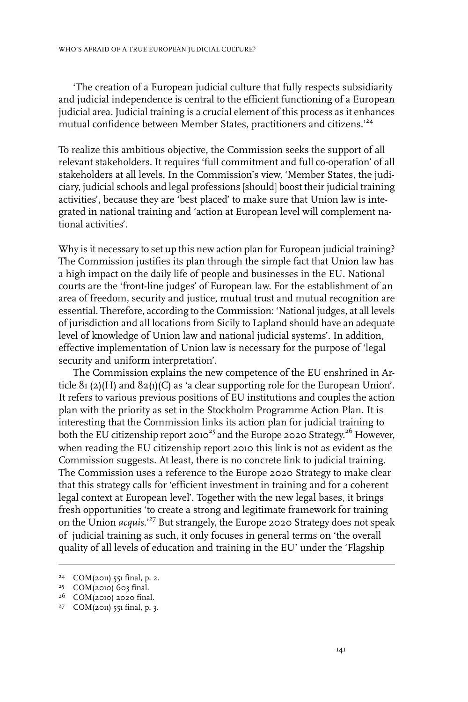'The creation of a European judicial culture that fully respects subsidiarity and judicial independence is central to the efficient functioning of a European judicial area. Judicial training is a crucial element of this process as it enhances mutual confidence between Member States, practitioners and citizens.<sup>'24</sup>

To realize this ambitious objective, the Commission seeks the support of all relevant stakeholders. It requires 'full commitment and full co-operation' of all stakeholders at all levels. In the Commission's view, 'Member States, the judiciary, judicial schools and legal professions [should] boost their judicial training activities', because they are 'best placed' to make sure that Union law is integrated in national training and 'action at European level will complement national activities'.

Why is it necessary to set up this new action plan for European judicial training? The Commission justifies its plan through the simple fact that Union law has a high impact on the daily life of people and businesses in the EU. National courts are the 'front-line judges' of European law. For the establishment of an area of freedom, security and justice, mutual trust and mutual recognition are essential. Therefore, according to the Commission: 'National judges, at all levels of jurisdiction and all locations from Sicily to Lapland should have an adequate level of knowledge of Union law and national judicial systems'. In addition, effective implementation of Union law is necessary for the purpose of 'legal security and uniform interpretation'.

The Commission explains the new competence of the EU enshrined in Article  $81 (2)(H)$  and  $82(1)(C)$  as 'a clear supporting role for the European Union'. It refers to various previous positions of EU institutions and couples the action plan with the priority as set in the Stockholm Programme Action Plan. It is interesting that the Commission links its action plan for judicial training to both the EU citizenship report 2010<sup>25</sup> and the Europe 2020 Strategy.<sup>26</sup> However, when reading the EU citizenship report 2010 this link is not as evident as the Commission suggests. At least, there is no concrete link to judicial training. The Commission uses a reference to the Europe 2020 Strategy to make clear that this strategy calls for 'efficient investment in training and for a coherent legal context at European level'. Together with the new legal bases, it brings fresh opportunities 'to create a strong and legitimate framework for training on the Union *acquis*.'<sup>27</sup> But strangely, the Europe 2020 Strategy does not speak of judicial training as such, it only focuses in general terms on 'the overall quality of all levels of education and training in the EU' under the 'Flagship

 $24$  COM(2011) 551 final, p. 2.

<sup>&</sup>lt;sup>25</sup> COM(2010) 603 final.

 $26$  COM(2010) 2020 final.

 $27$  COM(2011) 551 final, p. 3.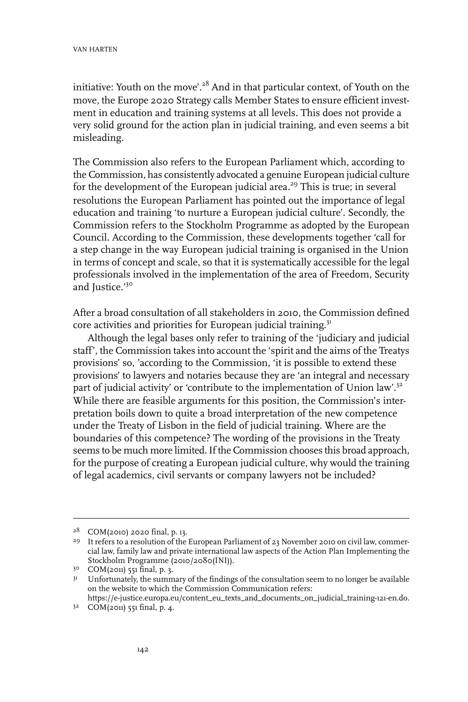initiative: Youth on the move'.<sup>28</sup> And in that particular context, of Youth on the move, the Europe 2020 Strategy calls Member States to ensure efficient investment in education and training systems at all levels. This does not provide a very solid ground for the action plan in judicial training, and even seems a bit misleading.

The Commission also refers to the European Parliament which, according to the Commission, has consistently advocated a genuine European judicial culture for the development of the European judicial area.<sup>29</sup> This is true; in several resolutions the European Parliament has pointed out the importance of legal education and training 'to nurture a European judicial culture'. Secondly, the Commission refers to the Stockholm Programme as adopted by the European Council. According to the Commission, these developments together 'call for a step change in the way European judicial training is organised in the Union in terms of concept and scale, so that it is systematically accessible for the legal professionals involved in the implementation of the area of Freedom, Security and Justice.'30

After a broad consultation of all stakeholders in 2010, the Commission defined core activities and priorities for European judicial training.<sup>31</sup>

Although the legal bases only refer to training of the 'judiciary and judicial staff', the Commission takes into account the 'spirit and the aims of the Treatys provisions' so, 'according to the Commission, 'it is possible to extend these provisions' to lawyers and notaries because they are 'an integral and necessary part of judicial activity' or 'contribute to the implementation of Union law'.<sup>32</sup> While there are feasible arguments for this position, the Commission's interpretation boils down to quite a broad interpretation of the new competence under the Treaty of Lisbon in the field of judicial training. Where are the boundaries of this competence? The wording of the provisions in the Treaty seems to be much more limited. If the Commission chooses this broad approach, for the purpose of creating a European judicial culture, why would the training of legal academics, civil servants or company lawyers not be included?

 $28$  COM(2010) 2020 final, p. 13.

<sup>&</sup>lt;sup>29</sup> It refers to a resolution of the European Parliament of 23 November 2010 on civil law, commercial law, family law and private international law aspects of the Action Plan Implementing the Stockholm Programme (2010/2080(INI)).

 $30$  COM(2011) 551 final, p. 3.

<sup>31</sup> Unfortunately, the summary of the findings of the consultation seem to no longer be available on the website to which the Commission Communication refers: https://e-justice.europa.eu/content\_eu\_texts\_and\_documents\_on\_judicial\_training-121-en.do.

 $3^2$  COM(2011) 551 final, p. 4.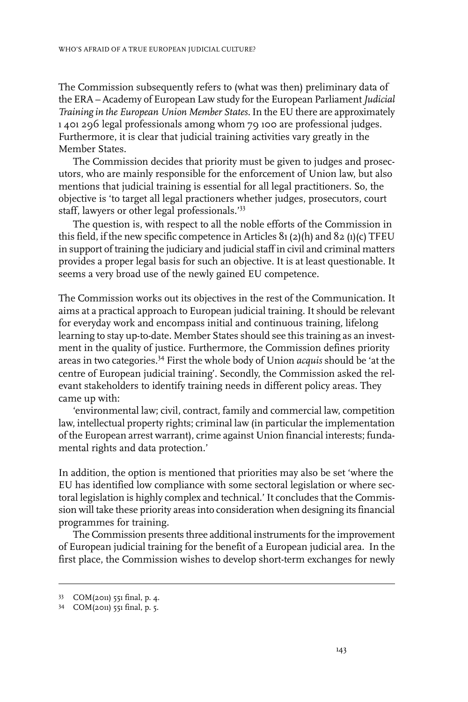The Commission subsequently refers to (what was then) preliminary data of the ERA – Academy of European Law study forthe European Parliament*Judicial Training in the European Union Member States.*In the EU there are approximately 1 401 296 legal professionals among whom 79 100 are professional judges. Furthermore, it is clear that judicial training activities vary greatly in the Member States.

The Commission decides that priority must be given to judges and prosecutors, who are mainly responsible for the enforcement of Union law, but also mentions that judicial training is essential for all legal practitioners. So, the objective is 'to target all legal practioners whether judges, prosecutors, court staff, lawyers or other legal professionals.'<sup>33</sup>

The question is, with respect to all the noble efforts of the Commission in this field, if the new specific competence in Articles 81 (2)(h) and 82 (1)(c) TFEU in support of training the judiciary and judicial staff in civil and criminal matters provides a proper legal basis for such an objective. It is at least questionable. It seems a very broad use of the newly gained EU competence.

The Commission works out its objectives in the rest of the Communication. It aims at a practical approach to European judicial training. It should be relevant for everyday work and encompass initial and continuous training, lifelong learning to stay up-to-date. Member States should see this training as an investment in the quality of justice. Furthermore, the Commission defines priority areas in two categories.<sup>34</sup> First the whole body of Union *acquis* should be 'at the centre of European judicial training'. Secondly, the Commission asked the relevant stakeholders to identify training needs in different policy areas. They came up with:

'environmental law; civil, contract, family and commercial law, competition law, intellectual property rights; criminal law (in particular the implementation of the European arrest warrant), crime against Union financial interests; fundamental rights and data protection.'

In addition, the option is mentioned that priorities may also be set 'where the EU has identified low compliance with some sectoral legislation or where sectoral legislation is highly complex and technical.' It concludes that the Commission will take these priority areas into consideration when designing its financial programmes for training.

The Commission presents three additional instruments forthe improvement of European judicial training for the benefit of a European judicial area. In the first place, the Commission wishes to develop short-term exchanges for newly

COM(2011) 551 final, p. 4. <sup>33</sup>

<sup>34</sup> COM(2011) 551 final, p. 5.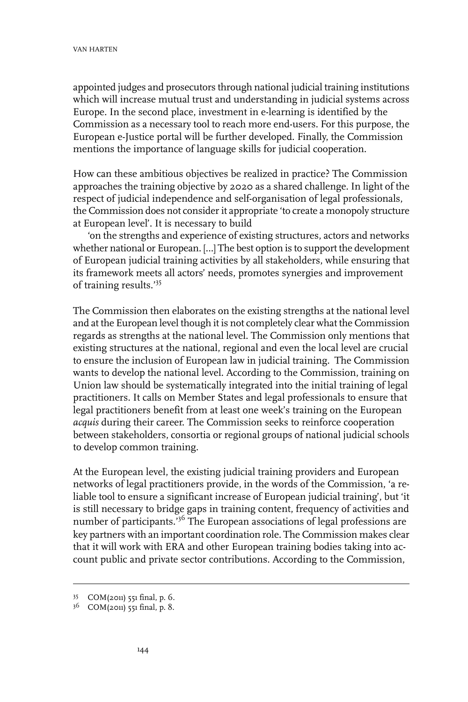appointed judges and prosecutors through national judicial training institutions which will increase mutual trust and understanding in judicial systems across Europe. In the second place, investment in e-learning is identified by the Commission as a necessary tool to reach more end-users. For this purpose, the European e-Justice portal will be further developed. Finally, the Commission mentions the importance of language skills for judicial cooperation.

How can these ambitious objectives be realized in practice? The Commission approaches the training objective by 2020 as a shared challenge. In light of the respect of judicial independence and self-organisation of legal professionals, the Commission does not consider it appropriate 'to create a monopoly structure at European level'. It is necessary to build

'on the strengths and experience of existing structures, actors and networks whether national or European. […] The best option is to support the development of European judicial training activities by all stakeholders, while ensuring that its framework meets all actors' needs, promotes synergies and improvement of training results.'<sup>35</sup>

The Commission then elaborates on the existing strengths at the national level and at the European level though it is not completely clear what the Commission regards as strengths at the national level. The Commission only mentions that existing structures at the national, regional and even the local level are crucial to ensure the inclusion of European law in judicial training. The Commission wants to develop the national level. According to the Commission, training on Union law should be systematically integrated into the initial training of legal practitioners. It calls on Member States and legal professionals to ensure that legal practitioners benefit from at least one week's training on the European *acquis* during their career. The Commission seeks to reinforce cooperation between stakeholders, consortia or regional groups of national judicial schools to develop common training.

At the European level, the existing judicial training providers and European networks of legal practitioners provide, in the words of the Commission, 'a reliable tool to ensure a significant increase of European judicial training', but 'it is still necessary to bridge gaps in training content, frequency of activities and number of participants.<sup>'36</sup> The European associations of legal professions are key partners with an important coordination role. The Commission makes clear that it will work with ERA and other European training bodies taking into account public and private sector contributions. According to the Commission,

COM(2011) 551 final, p. 6. <sup>35</sup>

<sup>36</sup> COM(2011) 551 final, p. 8.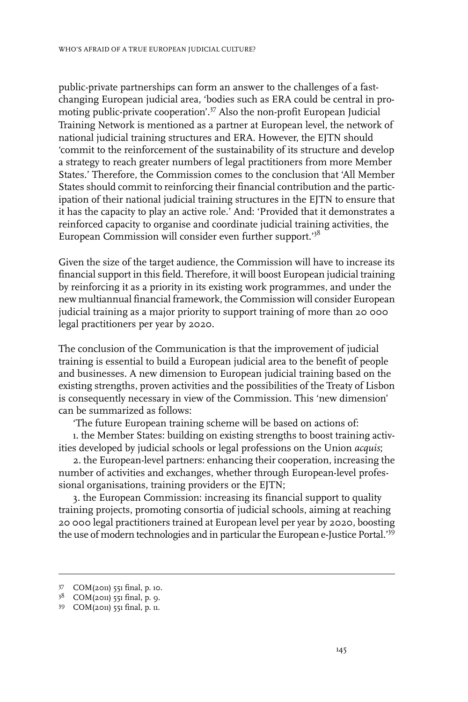public-private partnerships can form an answer to the challenges of a fastchanging European judicial area, 'bodies such as ERA could be central in promoting public-private cooperation'.<sup>37</sup> Also the non-profit European Judicial Training Network is mentioned as a partner at European level, the network of national judicial training structures and ERA. However, the EJTN should 'commit to the reinforcement of the sustainability of its structure and develop a strategy to reach greater numbers of legal practitioners from more Member States.' Therefore, the Commission comes to the conclusion that 'All Member States should commit to reinforcing their financial contribution and the participation of their national judicial training structures in the EJTN to ensure that it has the capacity to play an active role.' And: 'Provided that it demonstrates a reinforced capacity to organise and coordinate judicial training activities, the European Commission will consider even further support.'<sup>38</sup>

Given the size of the target audience, the Commission will have to increase its financial support in this field. Therefore, it will boost European judicial training by reinforcing it as a priority in its existing work programmes, and under the new multiannual financial framework, the Commission will consider European judicial training as a major priority to support training of more than 20 000 legal practitioners per year by 2020.

The conclusion of the Communication is that the improvement of judicial training is essential to build a European judicial area to the benefit of people and businesses. A new dimension to European judicial training based on the existing strengths, proven activities and the possibilities of the Treaty of Lisbon is consequently necessary in view of the Commission. This 'new dimension' can be summarized as follows:

'The future European training scheme will be based on actions of:

1. the Member States: building on existing strengths to boost training activities developed by judicial schools or legal professions on the Union *acquis*;

2. the European-level partners: enhancing their cooperation, increasing the number of activities and exchanges, whether through European-level professional organisations, training providers or the EJTN;

3. the European Commission: increasing its financial support to quality training projects, promoting consortia of judicial schools, aiming at reaching 20 000 legal practitioners trained at European level per year by 2020, boosting the use of modern technologies and in particular the European e-Justice Portal.'<sup>39</sup>

COM(2011) 551 final, p. 10. <sup>37</sup>

<sup>38</sup> COM(2011) 551 final, p. 9.

<sup>39</sup> COM(2011) 551 final, p. 11.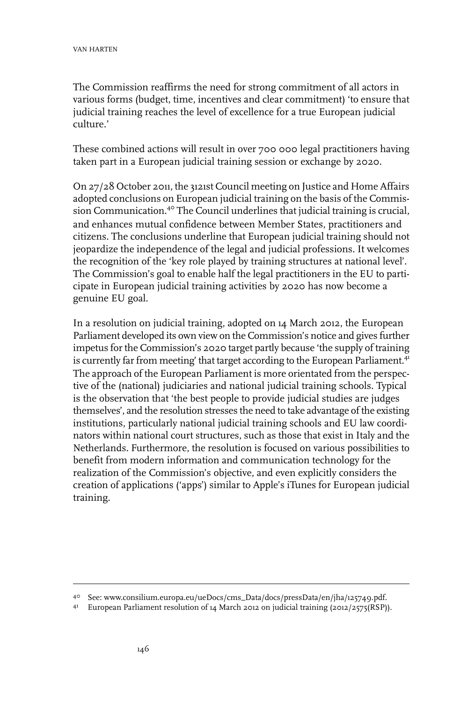The Commission reaffirms the need for strong commitment of all actors in various forms (budget, time, incentives and clear commitment) 'to ensure that judicial training reaches the level of excellence for a true European judicial culture.'

These combined actions will result in over 700 000 legal practitioners having taken part in a European judicial training session or exchange by 2020.

On 27/28 October 2011, the 3121st Council meeting on Justice and Home Affairs adopted conclusions on European judicial training on the basis of the Commission Communication.<sup>40</sup> The Council underlines that judicial training is crucial, and enhances mutual confidence between Member States, practitioners and citizens. The conclusions underline that European judicial training should not jeopardize the independence of the legal and judicial professions. It welcomes the recognition of the 'key role played by training structures at national level'. The Commission's goal to enable half the legal practitioners in the EU to participate in European judicial training activities by 2020 has now become a genuine EU goal.

In a resolution on judicial training, adopted on 14 March 2012, the European Parliament developed its own view on the Commission's notice and gives further impetus for the Commission's 2020 target partly because 'the supply of training is currently far from meeting' that target according to the European Parliament.<sup>41</sup> The approach of the European Parliament is more orientated from the perspective of the (national) judiciaries and national judicial training schools. Typical is the observation that 'the best people to provide judicial studies are judges themselves', and the resolution stresses the need to take advantage of the existing institutions, particularly national judicial training schools and EU law coordinators within national court structures, such as those that exist in Italy and the Netherlands. Furthermore, the resolution is focused on various possibilities to benefit from modern information and communication technology for the realization of the Commission's objective, and even explicitly considers the creation of applications ('apps') similar to Apple's iTunes for European judicial training.

See: www.consilium.europa.eu/ueDocs/cms\_Data/docs/pressData/en/jha/125749.pdf. <sup>40</sup>

European Parliament resolution of 14 March 2012 on judicial training (2012/2575(RSP)). <sup>41</sup>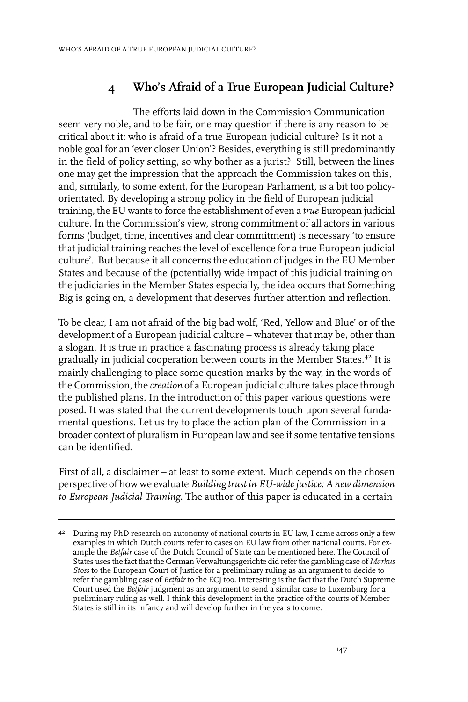# **4 Who's Afraid of a True European Judicial Culture?**

The efforts laid down in the Commission Communication seem very noble, and to be fair, one may question if there is any reason to be critical about it: who is afraid of a true European judicial culture? Is it not a noble goal for an 'ever closer Union'? Besides, everything is still predominantly in the field of policy setting, so why bother as a jurist? Still, between the lines one may get the impression that the approach the Commission takes on this, and, similarly, to some extent, for the European Parliament, is a bit too policyorientated. By developing a strong policy in the field of European judicial training, the EU wants to force the establishment of even a *true* European judicial culture. In the Commission's view, strong commitment of all actors in various forms (budget, time, incentives and clear commitment) is necessary 'to ensure that judicial training reaches the level of excellence for a true European judicial culture'. But because it all concerns the education of judges in the EU Member States and because of the (potentially) wide impact of this judicial training on the judiciaries in the Member States especially, the idea occurs that Something Big is going on, a development that deserves further attention and reflection.

To be clear, I am not afraid of the big bad wolf, 'Red, Yellow and Blue' or of the development of a European judicial culture – whatever that may be, other than a slogan. It is true in practice a fascinating process is already taking place gradually in judicial cooperation between courts in the Member States.<sup>42</sup> It is mainly challenging to place some question marks by the way, in the words of the Commission, the *creation* of a European judicial culture takes place through the published plans. In the introduction of this paper various questions were posed. It was stated that the current developments touch upon several fundamental questions. Let us try to place the action plan of the Commission in a broader context of pluralism in European law and see if some tentative tensions can be identified.

First of all, a disclaimer – at least to some extent. Much depends on the chosen perspective of how we evaluate *Building trust in EU-widejustice: A new dimension to European Judicial Training.* The author of this paper is educated in a certain

<sup>&</sup>lt;sup>42</sup> During my PhD research on autonomy of national courts in EU law, I came across only a few examples in which Dutch courts refer to cases on EU law from other national courts. For example the *Betfair* case of the Dutch Council of State can be mentioned here. The Council of States uses the fact that the German Verwaltungsgerichte did refer the gambling case of *Markus Stoss* to the European Court of Justice for a preliminary ruling as an argument to decide to refer the gambling case of *Betfair* to the ECJ too. Interesting is the fact that the Dutch Supreme Court used the *Betfair* judgment as an argument to send a similar case to Luxemburg for a preliminary ruling as well. I think this development in the practice of the courts of Member States is still in its infancy and will develop further in the years to come.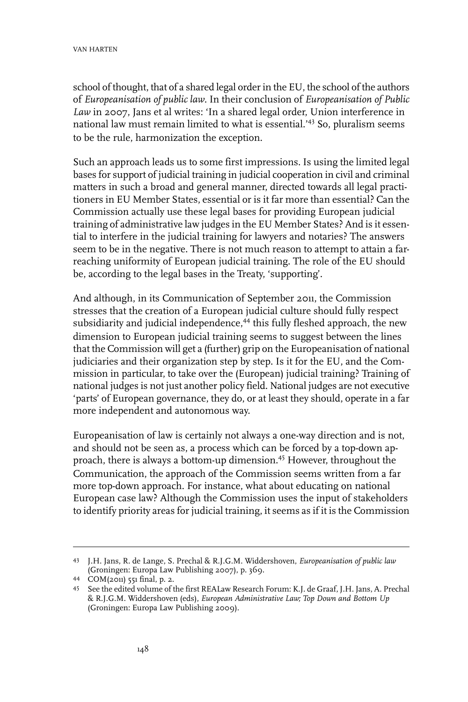school of thought, that of a shared legal orderin the EU, the school of the authors of *Europeanisation of public law*. In their conclusion of *Europeanisation of Public Law* in 2007, Jans et al writes: 'In a shared legal order, Union interference in national law must remain limited to what is essential.'<sup>43</sup> So, pluralism seems to be the rule, harmonization the exception.

Such an approach leads us to some first impressions. Is using the limited legal bases for support of judicial training in judicial cooperation in civil and criminal matters in such a broad and general manner, directed towards all legal practitioners in EU Member States, essential or is it far more than essential? Can the Commission actually use these legal bases for providing European judicial training of administrative law judges in the EU Member States? And is it essential to interfere in the judicial training for lawyers and notaries? The answers seem to be in the negative. There is not much reason to attempt to attain a farreaching uniformity of European judicial training. The role of the EU should be, according to the legal bases in the Treaty, 'supporting'.

And although, in its Communication of September 2011, the Commission stresses that the creation of a European judicial culture should fully respect subsidiarity and judicial independence,<sup>44</sup> this fully fleshed approach, the new dimension to European judicial training seems to suggest between the lines that the Commission will get a (further) grip on the Europeanisation of national judiciaries and their organization step by step. Is it for the EU, and the Commission in particular, to take over the (European) judicial training? Training of national judges is not just another policy field. National judges are not executive 'parts' of European governance, they do, or at least they should, operate in a far more independent and autonomous way.

Europeanisation of law is certainly not always a one-way direction and is not, and should not be seen as, a process which can be forced by a top-down approach, there is always a bottom-up dimension.<sup>45</sup> However, throughout the Communication, the approach of the Commission seems written from a far more top-down approach. For instance, what about educating on national European case law? Although the Commission uses the input of stakeholders to identify priority areas for judicial training, it seems as if it is the Commission

J.H. Jans, R. de Lange, S. Prechal & R.J.G.M. Widdershoven, *Europeanisation of public law* 43 (Groningen: Europa Law Publishing 2007), p. 369.

COM(2011) 551 final, p. 2. <sup>44</sup>

<sup>45</sup> See the edited volume of the first REALaw Research Forum: K.J. de Graaf, J.H. Jans, A. Prechal & R.J.G.M. Widdershoven (eds), *European Administrative Law; Top Down and Bottom Up* (Groningen: Europa Law Publishing 2009).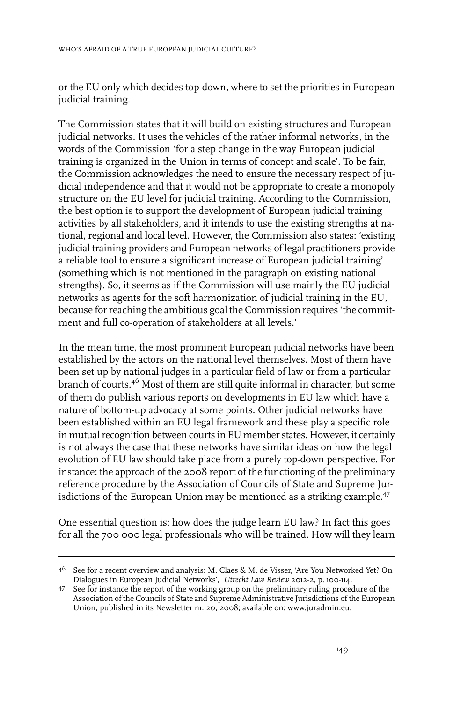or the EU only which decides top-down, where to set the priorities in European judicial training.

The Commission states that it will build on existing structures and European judicial networks. It uses the vehicles of the rather informal networks, in the words of the Commission 'for a step change in the way European judicial training is organized in the Union in terms of concept and scale'. To be fair, the Commission acknowledges the need to ensure the necessary respect of judicial independence and that it would not be appropriate to create a monopoly structure on the EU level for judicial training. According to the Commission, the best option is to support the development of European judicial training activities by all stakeholders, and it intends to use the existing strengths at national, regional and local level. However, the Commission also states: 'existing judicial training providers and European networks of legal practitioners provide a reliable tool to ensure a significant increase of European judicial training' (something which is not mentioned in the paragraph on existing national strengths). So, it seems as if the Commission will use mainly the EU judicial networks as agents for the soft harmonization of judicial training in the EU, because for reaching the ambitious goal the Commission requires 'the commitment and full co-operation of stakeholders at all levels.'

In the mean time, the most prominent European judicial networks have been established by the actors on the national level themselves. Most of them have been set up by national judges in a particular field of law or from a particular branch of courts.<sup>46</sup> Most of them are still quite informal in character, but some of them do publish various reports on developments in EU law which have a nature of bottom-up advocacy at some points. Other judicial networks have been established within an EU legal framework and these play a specific role in mutual recognition between courts in EU member states. However, it certainly is not always the case that these networks have similar ideas on how the legal evolution of EU law should take place from a purely top-down perspective. For instance: the approach of the 2008 report of the functioning of the preliminary reference procedure by the Association of Councils of State and Supreme Jurisdictions of the European Union may be mentioned as a striking example.<sup>47</sup>

One essential question is: how does the judge learn EU law? In fact this goes for all the 700 000 legal professionals who will be trained. How will they learn

 $^{46}$  See for a recent overview and analysis: M. Claes & M. de Visser, 'Are You Networked Yet? On Dialogues in European Judicial Networks', *Utrecht Law Review* 2012-2, p. 100-114.

<sup>47</sup> See for instance the report of the working group on the preliminary ruling procedure of the Association of the Councils of State and Supreme Administrative Jurisdictions of the European Union, published in its Newsletter nr. 20, 2008; available on: www.juradmin.eu.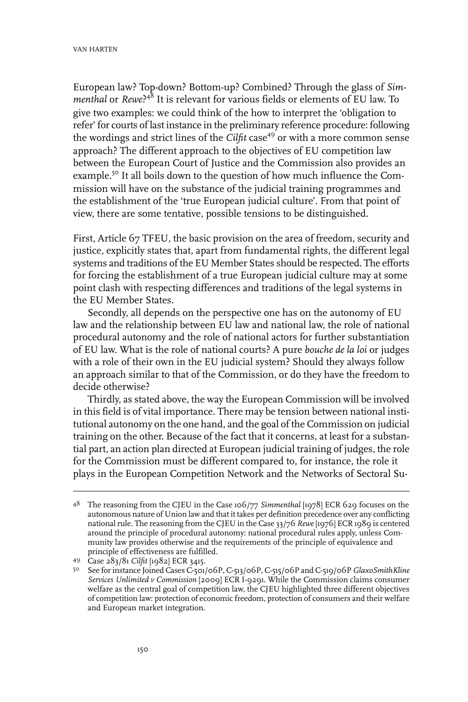European law? Top-down? Bottom-up? Combined? Through the glass of *Simmenthal* or *Rewe*? <sup>48</sup> It is relevant for various fields or elements of EU law. To give two examples: we could think of the how to interpret the 'obligation to refer' for courts of last instance in the preliminary reference procedure: following the wordings and strict lines of the *Cilfit* case<sup>49</sup> or with a more common sense approach? The different approach to the objectives of EU competition law between the European Court of Justice and the Commission also provides an example.<sup>50</sup> It all boils down to the question of how much influence the Commission will have on the substance of the judicial training programmes and the establishment of the 'true European judicial culture'. From that point of view, there are some tentative, possible tensions to be distinguished.

First, Article 67 TFEU, the basic provision on the area of freedom, security and justice, explicitly states that, apart from fundamental rights, the different legal systems and traditions of the EU Member States should be respected. The efforts for forcing the establishment of a true European judicial culture may at some point clash with respecting differences and traditions of the legal systems in the EU Member States.

Secondly, all depends on the perspective one has on the autonomy of EU law and the relationship between EU law and national law, the role of national procedural autonomy and the role of national actors for further substantiation of EU law. What is the role of national courts? A pure *bouche de la loi* or judges with a role of their own in the EU judicial system? Should they always follow an approach similar to that of the Commission, or do they have the freedom to decide otherwise?

Thirdly, as stated above, the way the European Commission will be involved in this field is of vital importance. There may be tension between national institutional autonomy on the one hand, and the goal of the Commission on judicial training on the other. Because of the fact that it concerns, at least for a substantial part, an action plan directed at European judicial training of judges, the role for the Commission must be different compared to, for instance, the role it plays in the European Competition Network and the Networks of Sectoral Su-

<sup>&</sup>lt;sup>48</sup> The reasoning from the CJEU in the Case 106/77 Simmenthal [1978] ECR 629 focuses on the autonomous nature of Union law and that it takes per definition precedence over any conflicting national rule. The reasoning from the CJEU in the Case 33/76 Rewe [1976] ECR 1989 is centered around the principle of procedural autonomy: national procedural rules apply, unless Community law provides otherwise and the requirements of the principle of equivalence and principle of effectiveness are fulfilled.

Case 283/81 *Cilfit* [1982] ECR 3415. <sup>49</sup>

See forinstance Joined Cases C-501/06P, C-513/06P, C-515/06P and C-519/06P *GlaxoSmithKline* 50 *Services Unlimited v Commission* [2009] ECR I-9291. While the Commission claims consumer welfare as the central goal of competition law, the CJEU highlighted three different objectives of competition law: protection of economic freedom, protection of consumers and their welfare and European market integration.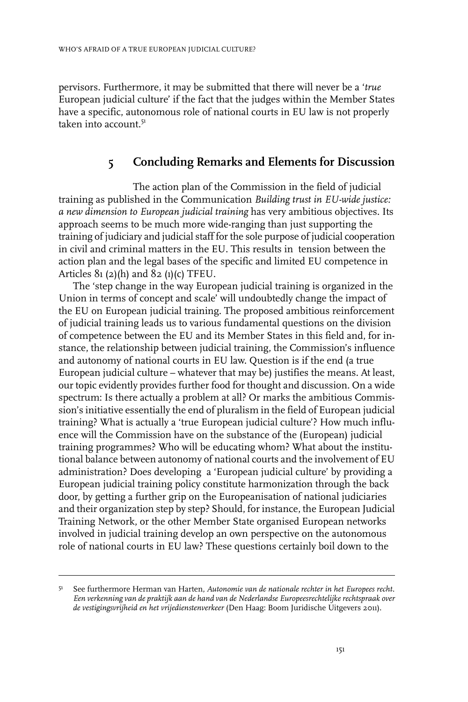pervisors. Furthermore, it may be submitted that there will never be a '*true* European judicial culture' if the fact that the judges within the Member States have a specific, autonomous role of national courts in EU law is not properly taken into account  $5<sup>1</sup>$ 

### **5 Concluding Remarks and Elements for Discussion**

The action plan of the Commission in the field of judicial training as published in the Communication *Building trust in EU-wide justice: a new dimension to European judicial training* has very ambitious objectives. Its approach seems to be much more wide-ranging than just supporting the training of judiciary and judicial staff forthe sole purpose of judicial cooperation in civil and criminal matters in the EU. This results in tension between the action plan and the legal bases of the specific and limited EU competence in Articles  $81 (2)(h)$  and  $82 (1)(c)$  TFEU.

The 'step change in the way European judicial training is organized in the Union in terms of concept and scale' will undoubtedly change the impact of the EU on European judicial training. The proposed ambitious reinforcement of judicial training leads us to various fundamental questions on the division of competence between the EU and its Member States in this field and, for instance, the relationship between judicial training, the Commission's influence and autonomy of national courts in EU law. Question is if the end (a true European judicial culture – whatever that may be) justifies the means. At least, our topic evidently provides further food for thought and discussion. On a wide spectrum: Is there actually a problem at all? Or marks the ambitious Commission's initiative essentially the end of pluralism in the field of European judicial training? What is actually a 'true European judicial culture'? How much influence will the Commission have on the substance of the (European) judicial training programmes? Who will be educating whom? What about the institutional balance between autonomy of national courts and the involvement of EU administration? Does developing a 'European judicial culture' by providing a European judicial training policy constitute harmonization through the back door, by getting a further grip on the Europeanisation of national judiciaries and their organization step by step? Should, for instance, the European Judicial Training Network, or the other Member State organised European networks involved in judicial training develop an own perspective on the autonomous role of national courts in EU law? These questions certainly boil down to the

See furthermore Herman van Harten, *Autonomie van de nationale rechter in het Europees recht. Een verkenning van de praktijk aan de hand van de Nederlandse Europeesrechtelijke rechtspraak over de vestigingsvrijheid en het vrijedienstenverkeer* (Den Haag: Boom Juridische Uitgevers 2011). 51